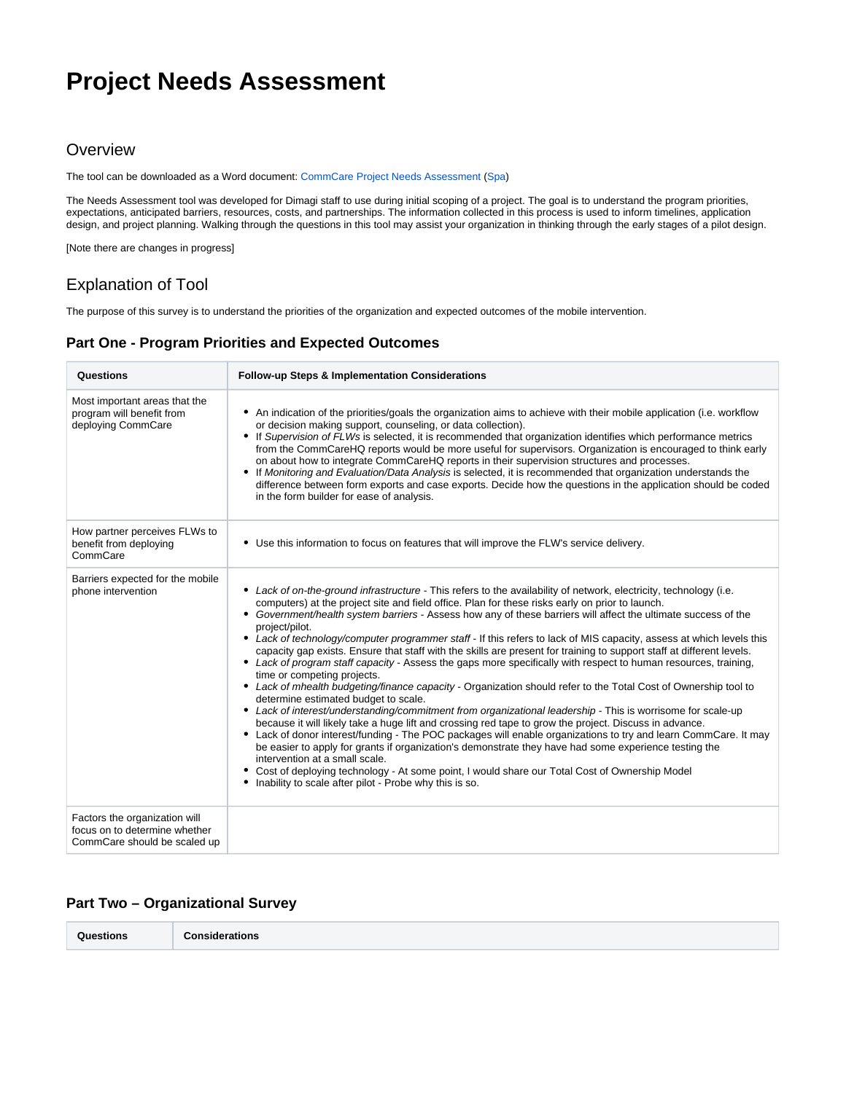# **Project Needs Assessment**

## **Overview**

The tool can be downloaded as a Word document: [CommCare Project Needs Assessment](https://confluence.dimagi.com/download/attachments/22708487/commcare_needs_assessment-v2-mb.docx?version=1&modificationDate=1405135247334&api=v2) ([Spa](https://confluence.dimagi.com/download/attachments/22708487/Evaluacio%CC%81n%20de%20Necesidades.docx?version=1&modificationDate=1470351019228&api=v2))

The Needs Assessment tool was developed for Dimagi staff to use during initial scoping of a project. The goal is to understand the program priorities, expectations, anticipated barriers, resources, costs, and partnerships. The information collected in this process is used to inform timelines, application design, and project planning. Walking through the questions in this tool may assist your organization in thinking through the early stages of a pilot design.

[Note there are changes in progress]

## Explanation of Tool

The purpose of this survey is to understand the priorities of the organization and expected outcomes of the mobile intervention.

### **Part One - Program Priorities and Expected Outcomes**

| Questions                                                                                      | Follow-up Steps & Implementation Considerations                                                                                                                                                                                                                                                                                                                                                                                                                                                                                                                                                                                                                                                                                                                                                                                                                                                                                                                                                                                                                                                                                                                                                                                                                                                                                                                                                                                                                                                                                                                           |
|------------------------------------------------------------------------------------------------|---------------------------------------------------------------------------------------------------------------------------------------------------------------------------------------------------------------------------------------------------------------------------------------------------------------------------------------------------------------------------------------------------------------------------------------------------------------------------------------------------------------------------------------------------------------------------------------------------------------------------------------------------------------------------------------------------------------------------------------------------------------------------------------------------------------------------------------------------------------------------------------------------------------------------------------------------------------------------------------------------------------------------------------------------------------------------------------------------------------------------------------------------------------------------------------------------------------------------------------------------------------------------------------------------------------------------------------------------------------------------------------------------------------------------------------------------------------------------------------------------------------------------------------------------------------------------|
| Most important areas that the<br>program will benefit from<br>deploying CommCare               | • An indication of the priorities/goals the organization aims to achieve with their mobile application (i.e. workflow<br>or decision making support, counseling, or data collection).<br>• If Supervision of FLWs is selected, it is recommended that organization identifies which performance metrics<br>from the CommCareHQ reports would be more useful for supervisors. Organization is encouraged to think early<br>on about how to integrate CommCareHQ reports in their supervision structures and processes.<br>If Monitoring and Evaluation/Data Analysis is selected, it is recommended that organization understands the<br>difference between form exports and case exports. Decide how the questions in the application should be coded<br>in the form builder for ease of analysis.                                                                                                                                                                                                                                                                                                                                                                                                                                                                                                                                                                                                                                                                                                                                                                        |
| How partner perceives FLWs to<br>benefit from deploying<br>CommCare                            | • Use this information to focus on features that will improve the FLW's service delivery.                                                                                                                                                                                                                                                                                                                                                                                                                                                                                                                                                                                                                                                                                                                                                                                                                                                                                                                                                                                                                                                                                                                                                                                                                                                                                                                                                                                                                                                                                 |
| Barriers expected for the mobile<br>phone intervention                                         | • Lack of on-the-ground infrastructure - This refers to the availability of network, electricity, technology (i.e.<br>computers) at the project site and field office. Plan for these risks early on prior to launch.<br>• Government/health system barriers - Assess how any of these barriers will affect the ultimate success of the<br>project/pilot.<br>• Lack of technology/computer programmer staff - If this refers to lack of MIS capacity, assess at which levels this<br>capacity gap exists. Ensure that staff with the skills are present for training to support staff at different levels.<br>• Lack of program staff capacity - Assess the gaps more specifically with respect to human resources, training,<br>time or competing projects.<br>• Lack of mhealth budgeting/finance capacity - Organization should refer to the Total Cost of Ownership tool to<br>determine estimated budget to scale.<br>• Lack of interest/understanding/commitment from organizational leadership - This is worrisome for scale-up<br>because it will likely take a huge lift and crossing red tape to grow the project. Discuss in advance.<br>• Lack of donor interest/funding - The POC packages will enable organizations to try and learn CommCare. It may<br>be easier to apply for grants if organization's demonstrate they have had some experience testing the<br>intervention at a small scale.<br>Cost of deploying technology - At some point, I would share our Total Cost of Ownership Model<br>Inability to scale after pilot - Probe why this is so. |
| Factors the organization will<br>focus on to determine whether<br>CommCare should be scaled up |                                                                                                                                                                                                                                                                                                                                                                                                                                                                                                                                                                                                                                                                                                                                                                                                                                                                                                                                                                                                                                                                                                                                                                                                                                                                                                                                                                                                                                                                                                                                                                           |

### **Part Two – Organizational Survey**

| Questions<br>. |
|----------------|
|----------------|